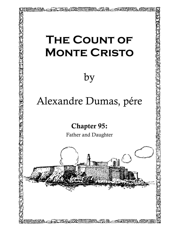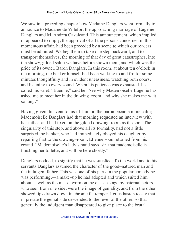We saw in a preceding chapter how Madame Danglars went formally to announce to Madame de Villefort the approaching marriage of Eugenie Danglars and M. Andrea Cavalcanti. This announcement, which implied or appeared to imply, the approval of all the persons concerned in this momentous affair, had been preceded by a scene to which our readers must be admitted. We beg them to take one step backward, and to transport themselves, the morning of that day of great catastrophes, into the showy, gilded salon we have before shown them, and which was the pride of its owner, Baron Danglars. In this room, at about ten o'clock in the morning, the banker himself had been walking to and fro for some minutes thoughtfully and in evident uneasiness, watching both doors, and listening to every sound. When his patience was exhausted, he called his valet. "Etienne," said he, "see why Mademoiselle Eugenie has asked me to meet her in the drawing–room, and why she makes me wait so long."

Having given this vent to his ill–humor, the baron became more calm; Mademoiselle Danglars had that morning requested an interview with her father, and had fixed on the gilded drawing–room as the spot. The singularity of this step, and above all its formality, had not a little surprised the banker, who had immediately obeyed his daughter by repairing first to the drawing–room. Etienne soon returned from his errand. "Mademoiselle's lady's maid says, sir, that mademoiselle is finishing her toilette, and will be here shortly."

Danglars nodded, to signify that he was satisfied. To the world and to his servants Danglars assumed the character of the good–natured man and the indulgent father. This was one of his parts in the popular comedy he was performing,—a make–up he had adopted and which suited him about as well as the masks worn on the classic stage by paternal actors, who seen from one side, were the image of geniality, and from the other showed lips drawn down in chronic ill–temper. Let us hasten to say that in private the genial side descended to the level of the other, so that generally the indulgent man disappeared to give place to the brutal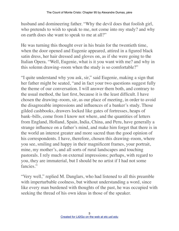husband and domineering father. "Why the devil does that foolish girl, who pretends to wish to speak to me, not come into my study? and why on earth does she want to speak to me at all?"

He was turning this thought over in his brain for the twentieth time, when the door opened and Eugenie appeared, attired in a figured black satin dress, her hair dressed and gloves on, as if she were going to the Italian Opera. "Well, Eugenie, what is it you want with me? and why in this solemn drawing–room when the study is so comfortable?"

"I quite understand why you ask, sir," said Eugenie, making a sign that her father might be seated, "and in fact your two questions suggest fully the theme of our conversation. I will answer them both, and contrary to the usual method, the last first, because it is the least difficult. I have chosen the drawing–room, sir, as our place of meeting, in order to avoid the disagreeable impressions and influences of a banker's study. Those gilded cashbooks, drawers locked like gates of fortresses, heaps of bank–bills, come from I know not where, and the quantities of letters from England, Holland, Spain, India, China, and Peru, have generally a strange influence on a father's mind, and make him forget that there is in the world an interest greater and more sacred than the good opinion of his correspondents. I have, therefore, chosen this drawing–room, where you see, smiling and happy in their magnificent frames, your portrait, mine, my mother's, and all sorts of rural landscapes and touching pastorals. I rely much on external impressions; perhaps, with regard to you, they are immaterial, but I should be no artist if I had not some fancies."

"Very well," replied M. Danglars, who had listened to all this preamble with imperturbable coolness, but without understanding a word, since like every man burdened with thoughts of the past, he was occupied with seeking the thread of his own ideas in those of the speaker.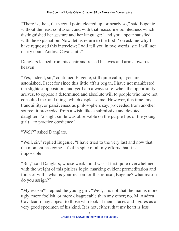"There is, then, the second point cleared up, or nearly so," said Eugenie, without the least confusion, and with that masculine pointedness which distinguished her gesture and her language; "and you appear satisfied with the explanation. Now, let us return to the first. You ask me why I have requested this interview; I will tell you in two words, sir; I will not marry count Andrea Cavalcanti."

Danglars leaped from his chair and raised his eyes and arms towards heaven.

"Yes, indeed, sir," continued Eugenie, still quite calm; "you are astonished, I see; for since this little affair began, I have not manifested the slightest opposition, and yet I am always sure, when the opportunity arrives, to oppose a determined and absolute will to people who have not consulted me, and things which displease me. However, this time, my tranquillity, or passiveness as philosophers say, proceeded from another source; it proceeded from a wish, like a submissive and devoted daughter" (a slight smile was observable on the purple lips of the young girl), "to practice obedience."

"Well?" asked Danglars.

"Well, sir," replied Eugenie, "I have tried to the very last and now that the moment has come, I feel in spite of all my efforts that it is impossible."

"But," said Danglars, whose weak mind was at first quite overwhelmed with the weight of this pitiless logic, marking evident premeditation and force of will, "what is your reason for this refusal, Eugenie? what reason do you assign?"

"My reason?" replied the young girl. "Well, it is not that the man is more ugly, more foolish, or more disagreeable than any other; no, M. Andrea Cavalcanti may appear to those who look at men's faces and figures as a very good specimen of his kind. It is not, either, that my heart is less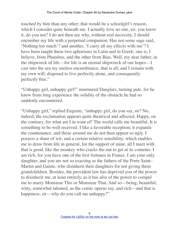touched by him than any other; that would be a schoolgirl's reason, which I consider quite beneath me. I actually love no one, sir; you know it, do you not? I do not then see why, without real necessity, I should encumber my life with a perpetual companion. Has not some sage said, 'Nothing too much'? and another, 'I carry all my effects with me'? I have been taught these two aphorisms in Latin and in Greek; one is, I believe, from Phaedrus, and the other from Bias. Well, my dear father, in the shipwreck of life—for life is an eternal shipwreck of our hopes—I cast into the sea my useless encumbrance, that is all, and I remain with my own will, disposed to live perfectly alone, and consequently perfectly free."

"Unhappy girl, unhappy girl!" murmured Danglars, turning pale, for he knew from long experience the solidity of the obstacle he had so suddenly encountered.

"Unhappy girl," replied Eugenie, "unhappy girl, do you say, sir? No, indeed; the exclamation appears quite theatrical and affected. Happy, on the contrary, for what am I in want of! The world calls me beautiful. It is something to be well received. I like a favorable reception; it expands the countenance, and those around me do not then appear so ugly. I possess a share of wit, and a certain relative sensibility, which enables me to draw from life in general, for the support of mine, all I meet with that is good, like the monkey who cracks the nut to get at its contents. I am rich, for you have one of the first fortunes in France. I am your only daughter, and you are not so exacting as the fathers of the Porte Saint– Martin and Gaiete, who disinherit their daughters for not giving them grandchildren. Besides, the provident law has deprived you of the power to disinherit me, at least entirely, as it has also of the power to compel me to marry Monsieur This or Monsieur That. And so—being, beautiful, witty, somewhat talented, as the comic operas say, and rich—and that is happiness, sir—why do you call me unhappy?"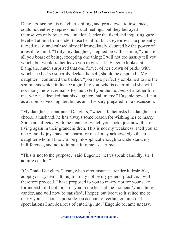Danglars, seeing his daughter smiling, and proud even to insolence, could not entirely repress his brutal feelings, but they betrayed themselves only by an exclamation. Under the fixed and inquiring gaze levelled at him from under those beautiful black eyebrows, he prudently turned away, and calmed himself immediately, daunted by the power of a resolute mind. "Truly, my daughter," replied he with a smile, "you are all you boast of being, excepting one thing; I will not too hastily tell you which, but would rather leave you to guess it." Eugenie looked at Danglars, much surprised that one flower of her crown of pride, with which she had so superbly decked herself, should be disputed. "My daughter," continued the banker, "you have perfectly explained to me the sentiments which influence a girl like you, who is determined she will not marry; now it remains for me to tell you the motives of a father like me, who has decided that his daughter shall marry." Eugenie bowed, not as a submissive daughter, but as an adversary prepared for a discussion.

"My daughter," continued Danglars, "when a father asks his daughter to choose a husband, he has always some reason for wishing her to marry. Some are affected with the mania of which you spoke just now, that of living again in their grandchildren. This is not my weakness, I tell you at once; family joys have no charm for me. I may acknowledge this to a daughter whom I know to be philosophical enough to understand my indifference, and not to impute it to me as a crime."

"This is not to the purpose," said Eugenie; "let us speak candidly, sir; I admire candor."

"Oh," said Danglars, "I can, when circumstances render it desirable, adopt your system, although it may not be my general practice. I will therefore proceed. I have proposed to you to marry, not for your sake, for indeed I did not think of you in the least at the moment (you admire candor, and will now be satisfied, I hope); but because it suited me to marry you as soon as possible, on account of certain commercial speculations I am desirous of entering into." Eugenie became uneasy.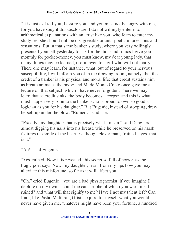"It is just as I tell you, I assure you, and you must not be angry with me, for you have sought this disclosure. I do not willingly enter into arithmetical explanations with an artist like you, who fears to enter my study lest she should imbibe disagreeable or anti–poetic impressions and sensations. But in that same banker's study, where you very willingly presented yourself yesterday to ask for the thousand francs I give you monthly for pocket–money, you must know, my dear young lady, that many things may be learned, useful even to a girl who will not marry. There one may learn, for instance, what, out of regard to your nervous susceptibility, I will inform you of in the drawing–room, namely, that the credit of a banker is his physical and moral life; that credit sustains him as breath animates the body; and M. de Monte Cristo once gave me a lecture on that subject, which I have never forgotten. There we may learn that as credit sinks, the body becomes a corpse, and this is what must happen very soon to the banker who is proud to own so good a logician as you for his daughter." But Eugenie, instead of stooping, drew herself up under the blow. "Ruined?" said she.

"Exactly, my daughter; that is precisely what I mean," said Danglars, almost digging his nails into his breast, while he preserved on his harsh features the smile of the heartless though clever man; "ruined—yes, that is it."

"Ah!" said Eugenie.

"Yes, ruined! Now it is revealed, this secret so full of horror, as the tragic poet says. Now, my daughter, learn from my lips how you may alleviate this misfortune, so far as it will affect you."

"Oh," cried Eugenie, "you are a bad physiognomist, if you imagine I deplore on my own account the catastrophe of which you warn me. I ruined? and what will that signify to me? Have I not my talent left? Can I not, like Pasta, Malibran, Grisi, acquire for myself what you would never have given me, whatever might have been your fortune, a hundred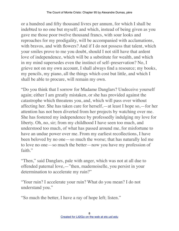or a hundred and fifty thousand livres per annum, for which I shall be indebted to no one but myself; and which, instead of being given as you gave me those poor twelve thousand francs, with sour looks and reproaches for my prodigality, will be accompanied with acclamations, with bravos, and with flowers? And if I do not possess that talent, which your smiles prove to me you doubt, should I not still have that ardent love of independence, which will be a substitute for wealth, and which in my mind supersedes even the instinct of self–preservation? No, I grieve not on my own account, I shall always find a resource; my books, my pencils, my piano, all the things which cost but little, and which I shall be able to procure, will remain my own.

"Do you think that I sorrow for Madame Danglars? Undeceive yourself again; either I am greatly mistaken, or she has provided against the catastrophe which threatens you, and, which will pass over without affecting her. She has taken care for herself,—at least I hope so,—for her attention has not been diverted from her projects by watching over me. She has fostered my independence by professedly indulging my love for liberty. Oh, no, sir; from my childhood I have seen too much, and understood too much, of what has passed around me, for misfortune to have an undue power over me. From my earliest recollections, I have been beloved by no one—so much the worse; that has naturally led me to love no one—so much the better—now you have my profession of faith."

"Then," said Danglars, pale with anger, which was not at all due to offended paternal love,—"then, mademoiselle, you persist in your determination to accelerate my ruin?"

"Your ruin? I accelerate your ruin? What do you mean? I do not understand you."

"So much the better, I have a ray of hope left; listen."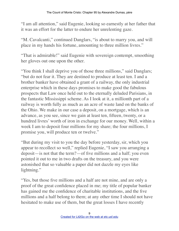"I am all attention," said Eugenie, looking so earnestly at her father that it was an effort for the latter to endure her unrelenting gaze.

"M. Cavalcanti," continued Danglars, "is about to marry you, and will place in my hands his fortune, amounting to three million livres."

"That is admirable!" said Eugenie with sovereign contempt, smoothing her gloves out one upon the other.

"You think I shall deprive you of those three millions," said Danglars; "but do not fear it. They are destined to produce at least ten. I and a brother banker have obtained a grant of a railway, the only industrial enterprise which in these days promises to make good the fabulous prospects that Law once held out to the eternally deluded Parisians, in the fantastic Mississippi scheme. As I look at it, a millionth part of a railway is worth fully as much as an acre of waste land on the banks of the Ohio. We make in our case a deposit, on a mortgage, which is an advance, as you see, since we gain at least ten, fifteen, twenty, or a hundred livres' worth of iron in exchange for our money. Well, within a week I am to deposit four millions for my share; the four millions, I promise you, will produce ten or twelve."

"But during my visit to you the day before yesterday, sir, which you appear to recollect so well," replied Eugenie, "I saw you arranging a deposit—is not that the term?—of five millions and a half; you even pointed it out to me in two drafts on the treasury, and you were astonished that so valuable a paper did not dazzle my eyes like lightning."

"Yes, but those five millions and a half are not mine, and are only a proof of the great confidence placed in me; my title of popular banker has gained me the confidence of charitable institutions, and the five millions and a half belong to them; at any other time I should not have hesitated to make use of them, but the great losses I have recently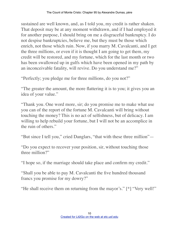sustained are well known, and, as I told you, my credit is rather shaken. That deposit may be at any moment withdrawn, and if I had employed it for another purpose, I should bring on me a disgraceful bankruptcy. I do not despise bankruptcies, believe me, but they must be those which enrich, not those which ruin. Now, if you marry M. Cavalcanti, and I get the three millions, or even if it is thought I am going to get them, my credit will be restored, and my fortune, which for the last month or two has been swallowed up in gulfs which have been opened in my path by an inconceivable fatality, will revive. Do you understand me?"

"Perfectly; you pledge me for three millions, do you not?"

"The greater the amount, the more flattering it is to you; it gives you an idea of your value."

"Thank you. One word more, sir; do you promise me to make what use you can of the report of the fortune M. Cavalcanti will bring without touching the money? This is no act of selfishness, but of delicacy. I am willing to help rebuild your fortune, but I will not be an accomplice in the ruin of others."

"But since I tell you," cried Danglars, "that with these three million"—

"Do you expect to recover your position, sir, without touching those three million?"

"I hope so, if the marriage should take place and confirm my credit."

"Shall you be able to pay M. Cavalcanti the five hundred thousand francs you promise for my dowry?"

"He shall receive them on returning from the mayor's." [\*] "Very well!"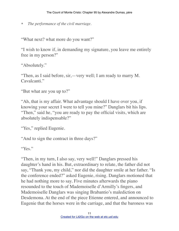\* *The performance of the civil marriage.*

"What next? what more do you want?"

"I wish to know if, in demanding my signature, you leave me entirely free in my person?"

"Absolutely."

"Then, as I said before, sir,—very well; I am ready to marry M. Cavalcanti."

"But what are you up to?"

"Ah, that is my affair. What advantage should I have over you, if knowing your secret I were to tell you mine?" Danglars bit his lips. "Then," said he, "you are ready to pay the official visits, which are absolutely indispensable?"

"Yes," replied Eugenie.

"And to sign the contract in three days?"

"Yes."

"Then, in my turn, I also say, very well!" Danglars pressed his daughter's hand in his. But, extraordinary to relate, the father did not say, "Thank you, my child," nor did the daughter smile at her father. "Is the conference ended?" asked Eugenie, rising. Danglars motioned that he had nothing more to say. Five minutes afterwards the piano resounded to the touch of Mademoiselle d'Armilly's fingers, and Mademoiselle Danglars was singing Brabantio's malediction on Desdemona. At the end of the piece Etienne entered, and announced to Eugenie that the horses were in the carriage, and that the baroness was